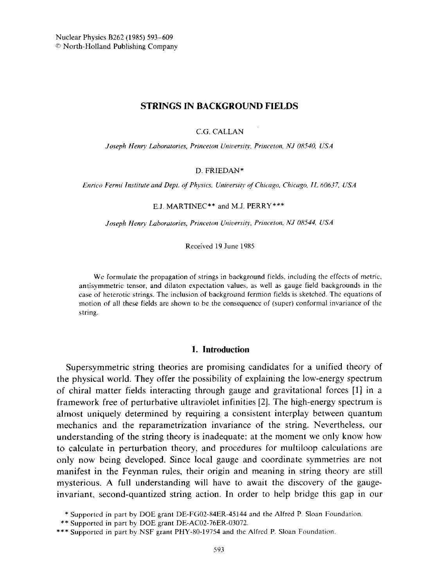# **STRINGS IN BACKGROUND FIELDS**

C.G. CALLAN

Joseph Henry Laboratories, Princeton University, Princeton, NJ 08540, USA

#### D. FRIEDAN\*

Enrico Fermi Institute and Dept. of Physics, University of Chicago, Chicago, IL 60637, USA

#### E.J. MARTINEC\*\* and M.J. PERRY\*\*\*

Joseph Henry Laboratories, Princeton University, Princeton, NJ 08544, USA

Received 19 June 1985

We formulate the propagation of strings in background fields, including the effects of metric, antisymmetric tensor, and dilaton expectation values, as well as gauge field backgrounds in the case of heterotic strings. The inclusion of background fermion fields is sketched. The equations of motion of all these fields are shown to be the consequence of (super) conformal invariance of the string.

### 1. Introduction

Supersymmetric string theories are promising candidates for a unified theory of the physical world. They offer the possibility of explaining the low-energy spectrum of chiral matter fields interacting through gauge and gravitational forces [1] in a framework free of perturbative ultraviolet infinities [2]. The high-energy spectrum is almost uniquely determined by requiring a consistent interplay between quantum mechanics and the reparametrization invariance of the string. Nevertheless, our understanding of the string theory is inadequate: at the moment we only know how to calculate in perturbation theory, and procedures for multiloop calculations are only now being developed. Since local gauge and coordinate symmetries are not manifest in the Feynman rules, their origin and meaning in string theory are still mysterious. A full understanding will have to await the discovery of the gaugeinvariant, second-quantized string action. In order to help bridge this gap in our

<sup>\*</sup> Supported in part by DOE grant DE-FG02-84ER-45144 and the Alfred P. Sloan Foundation.

<sup>\*\*</sup> Supported in part by DOE grant DE-AC02-76ER-03072.

<sup>\*\*\*</sup> Supported in part by NSF grant PHY-80-19754 and the Alfred P. Sloan Foundation.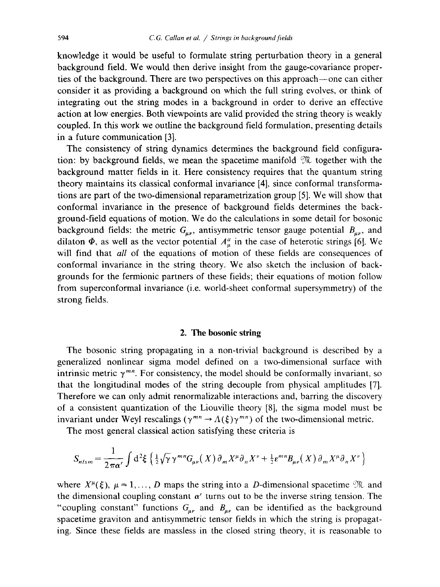knowledge it would be useful to formulate string perturbation theory in a general background field. We would then derive insight from the gauge-covariance properties of the background. There are two perspectives on this approach—one can either consider it as providing a background on which the full string evolves, or think of integrating out the string modes in a background in order to derive an effective action at low energies. Both viewpoints are valid provided the string theory is weakly coupled. In this work we outline the background field formulation, presenting details in a future communication [3].

The consistency of string dynamics determines the background field configuration: by background fields, we mean the spacetime manifold  $\mathcal{X}$  together with the background matter fields in it. Here consistency requires that the quantum string theory maintains its classical conformal invariance [4], since conformal transformations are part of the two-dimensional reparametrization group [5]. We will show that conformal invariance in the presence of background fields determines the background-field equations of motion. We do the calculations in some detail for bosonic background fields: the metric  $G_{\mu\nu}$ , antisymmetric tensor gauge potential  $B_{\mu\nu}$ , and dilaton  $\Phi$ , as well as the vector potential  $A^a_\mu$  in the case of heterotic strings [6]. We will find that *all* of the equations of motion of these fields are consequences of conformal invariance in the string theory. We also sketch the inclusion of backgrounds for the fermionic partners of these fields; their equations of motion follow from superconformal invariance (i.e. world-sheet conformal supersymmetry) of the strong fields.

### 2. The bosonic string

The bosonic string propagating in a non-trivial background is described by a generalized nonlinear sigma model defined on a two-dimensional surface with intrinsic metric  $\gamma^{mn}$ . For consistency, the model should be conformally invariant, so that the longitudinal modes of the string decouple from physical amplitudes [7]. Therefore we can only admit renormalizable interactions and, barring the discovery of a consistent quantization of the Liouville theory [8], the sigma model must be invariant under Weyl rescalings ( $\gamma^{mn} \rightarrow \Lambda(\xi) \gamma^{mn}$ ) of the two-dimensional metric.

The most general classical action satisfying these criteria is

$$
S_{nlsm} = \frac{1}{2\pi\alpha'} \int d^2\xi \left\{ \frac{1}{2} \sqrt{\gamma} \gamma^{mn} G_{\mu\nu}(X) \partial_m X^\mu \partial_n X^\nu + \frac{1}{2} \varepsilon^{mn} B_{\mu\nu}(X) \partial_m X^\mu \partial_n X^\nu \right\}
$$

where  $X^{\mu}(\xi)$ ,  $\mu = 1, ..., D$  maps the string into a D-dimensional spacetime  $\mathfrak{M}$  and the dimensional coupling constant  $\alpha'$  turns out to be the inverse string tension. The "coupling constant" functions  $G_{\mu\nu}$  and  $B_{\mu\nu}$  can be identified as the background spacetime graviton and antisymmetric tensor fields in which the string is propagating. Since these fields are massless in the closed string theory, it is reasonable to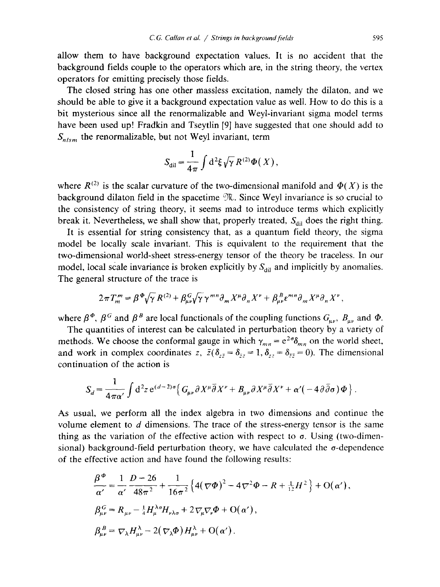allow them to have background expectation values. It is no accident that the background fields couple to the operators which are, in the string theory, the vertex operators for emitting precisely those fields.

The closed string has one other massless excitation, namely the dilaton, and we should be able to give it a background expectation value as well. How to do this is a bit mysterious since all the renormalizable and Weyl-invariant sigma model terms have been used up! Fradkin and Tseytlin [9] have suggested that one should add to  $S_{nlsm}$  the renormalizable, but not Weyl invariant, term

$$
S_{\rm dil} = \frac{1}{4\pi} \int d^2 \xi \sqrt{\gamma} R^{(2)} \Phi(X) ,
$$

where  $R^{(2)}$  is the scalar curvature of the two-dimensional manifold and  $\Phi(X)$  is the background dilaton field in the spacetime  $\mathfrak{N}$ . Since Weyl invariance is so crucial to the consistency of string theory, it seems mad to introduce terms which explicitly break it. Nevertheless, we shall show that, properly treated,  $S_{\text{dil}}$  does the right thing.

It is essential for string consistency that, as a quantum field theory, the sigma model be locally scale invariant. This is equivalent to the requirement that the two-dimensional world-sheet stress-energy tensor of the theory be traceless. In our model, local scale invariance is broken explicitly by  $S_{di}$  and implicitly by anomalies. The general structure of the trace is

$$
2\pi T_m''' = \beta^{\Phi} \sqrt{\gamma}\, R^{(2)} + \beta^G_{\mu\nu} \sqrt{\gamma}\, \gamma^{mn} \partial_m X^\mu \partial_n X^\nu + \beta^B_{\mu\nu} \epsilon^{mn} \partial_m X^\mu \partial_n X^\nu
$$

where  $\beta^{\Phi}$ ,  $\beta^G$  and  $\beta^B$  are local functionals of the coupling functions  $G_{\mu\nu}$ ,  $B_{\mu\nu}$  and  $\Phi$ .

The quantities of interest can be calculated in perturbation theory by a variety of methods. We choose the conformal gauge in which  $\gamma_{mn} = e^{2\sigma} \delta_{mn}$  on the world sheet, and work in complex coordinates z,  $\bar{z}(\delta_{z\bar{z}} = \delta_{\bar{z}z} = 1, \delta_{zz} = \delta_{\bar{z}z} = 0)$ . The dimensional continuation of the action is

$$
S_d = \frac{1}{4\pi\alpha'}\int d^2z \, \mathrm{e}^{(d-2)\sigma} \Big\{ G_{\mu\nu} \partial X^{\mu} \overline{\partial} X^{\nu} + B_{\mu\nu} \partial X^{\mu} \overline{\partial} X^{\nu} + \alpha' (-4\partial \overline{\partial} \sigma) \Phi \Big\} \, .
$$

As usual, we perform all the index algebra in two dimensions and continue the volume element to d dimensions. The trace of the stress-energy tensor is the same thing as the variation of the effective action with respect to  $\sigma$ . Using (two-dimensional) background-field perturbation theory, we have calculated the  $\sigma$ -dependence of the effective action and have found the following results:

$$
\frac{\beta^{\Phi}}{\alpha'} = \frac{1}{\alpha'} \frac{D - 26}{48\pi^2} + \frac{1}{16\pi^2} \left\{ 4(\nabla\Phi)^2 - 4\nabla^2\Phi - R + \frac{1}{12}H^2 \right\} + O(\alpha'),
$$
  
\n
$$
\beta_{\mu\nu}^G = R_{\mu\nu} - \frac{1}{4}H_{\mu}^{\lambda\sigma}H_{\nu\lambda\sigma} + 2\nabla_{\mu}\nabla_{\nu}\Phi + O(\alpha'),
$$
  
\n
$$
\beta_{\mu\nu}^B = \nabla_{\lambda}H_{\mu\nu}^{\lambda} - 2(\nabla_{\lambda}\Phi)H_{\mu\nu}^{\lambda} + O(\alpha').
$$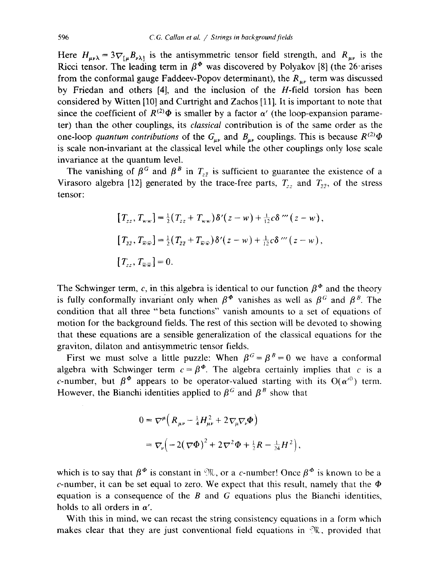Here  $H_{\mu\nu\lambda} = 3\nabla_{[\mu}B_{\nu\lambda]}$  is the antisymmetric tensor field strength, and  $R_{\mu\nu}$  is the Ricci tensor. The leading term in  $\beta^{\Phi}$  was discovered by Polyakov [8] (the 26 arises from the conformal gauge Faddeev-Popov determinant), the  $R_{uv}$  term was discussed by Friedan and others [4], and the inclusion of the H-field torsion has been considered by Witten [10] and Curtright and Zachos [11]. It is important to note that since the coefficient of  $R^{(2)}\Phi$  is smaller by a factor  $\alpha'$  (the loop-expansion parameter) than the other couplings, its *classical* contribution is of the same order as the one-loop quantum contributions of the  $G_{\mu\nu}$  and  $B_{\mu\nu}$  couplings. This is because  $R^{(2)}\Phi$ is scale non-invariant at the classical level while the other couplings only lose scale invariance at the quantum level.

The vanishing of  $\beta^G$  and  $\beta^B$  in  $T_{z\bar{z}}$  is sufficient to guarantee the existence of a Virasoro algebra [12] generated by the trace-free parts,  $T_{zz}$  and  $T_{\overline{z}z}$ , of the stress tensor:

$$
[T_{zz}, T_{ww}] = \frac{1}{2} (T_{zz} + T_{ww}) \delta'(z - w) + \frac{1}{12} c \delta''' (z - w),
$$
  
\n
$$
[T_{\overline{z}\overline{z}}, T_{\overline{w}\overline{w}}] = \frac{1}{2} (T_{\overline{z}\overline{z}} + T_{\overline{w}\overline{w}}) \delta'(z - w) + \frac{1}{12} c \delta''' (z - w),
$$
  
\n
$$
[T_{zz}, T_{\overline{w}\overline{w}}] = 0.
$$

The Schwinger term, c, in this algebra is identical to our function  $\beta^{\phi}$  and the theory is fully conformally invariant only when  $\beta^{\phi}$  vanishes as well as  $\beta^{G}$  and  $\beta^{B}$ . The condition that all three "beta functions" vanish amounts to a set of equations of motion for the background fields. The rest of this section will be devoted to showing that these equations are a sensible generalization of the classical equations for the graviton, dilaton and antisymmetric tensor fields.

First we must solve a little puzzle: When  $\beta^G = \beta^B = 0$  we have a conformal algebra with Schwinger term  $c = \beta^{\phi}$ . The algebra certainly implies that c is a c-number, but  $\beta^{\Phi}$  appears to be operator-valued starting with its  $O(\alpha'^0)$  term. However, the Bianchi identities applied to  $\beta^G$  and  $\beta^B$  show that

$$
0 = \nabla^{\mu} \Big( R_{\mu\nu} - \frac{1}{4} H_{\mu\nu}^2 + 2 \nabla_{\mu} \nabla_{\nu} \Phi \Big)
$$
  
=  $\nabla_{\nu} \Big( -2 (\nabla \Phi)^2 + 2 \nabla^2 \Phi + \frac{1}{2} R - \frac{1}{24} H^2 \Big),$ 

which is to say that  $\beta^{\phi}$  is constant in  $\mathfrak{N}$ , or a c-number! Once  $\beta^{\phi}$  is known to be a c-number, it can be set equal to zero. We expect that this result, namely that the  $\Phi$ equation is a consequence of the  $B$  and  $G$  equations plus the Bianchi identities, holds to all orders in  $\alpha'$ .

With this in mind, we can recast the string consistency equations in a form which makes clear that they are just conventional field equations in  $\mathfrak{M}$ , provided that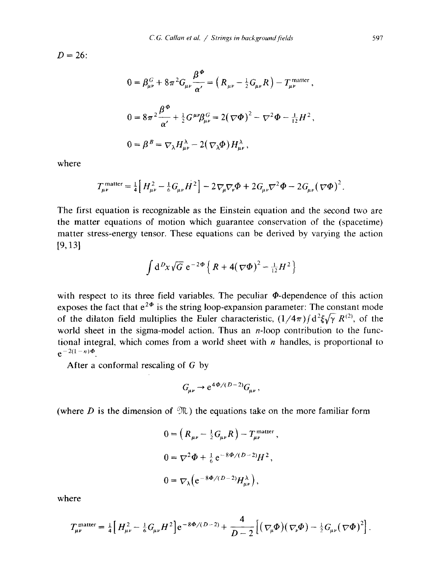$D = 26$ 

$$
0 = \beta_{\mu\nu}^{G} + 8\pi^{2} G_{\mu\nu} \frac{\beta^{\Phi}}{\alpha'} = \left( R_{\mu\nu} - \frac{1}{2} G_{\mu\nu} R \right) - T_{\mu\nu}^{\text{matter}},
$$
  

$$
0 = 8\pi^{2} \frac{\beta^{\Phi}}{\alpha'} + \frac{1}{2} G^{\mu\nu} \beta_{\mu\nu}^{G} = 2(\nabla \Phi)^{2} - \nabla^{2} \Phi - \frac{1}{12} H^{2},
$$
  

$$
0 = \beta^{B} = \nabla_{\lambda} H^{\lambda}_{\mu\nu} - 2(\nabla_{\lambda} \Phi) H^{\lambda}_{\mu\nu},
$$

where

$$
T_{\mu\nu}^{\text{matter}} = \frac{1}{4} \Big[ H_{\mu\nu}^2 - \frac{1}{6} G_{\mu\nu} H^2 \Big] - 2 \nabla_{\mu} \nabla_{\nu} \Phi + 2 G_{\mu\nu} \nabla^2 \Phi - 2 G_{\mu\nu} (\nabla \Phi)^2.
$$

The first equation is recognizable as the Einstein equation and the second two are the matter equations of motion which guarantee conservation of the (spacetime) matter stress-energy tensor. These equations can be derived by varying the action  $[9, 13]$ 

$$
\int d^D x \sqrt{G} e^{-2\Phi} \left\{ R + 4(\nabla \Phi)^2 - \frac{1}{12} H^2 \right\}
$$

with respect to its three field variables. The peculiar  $\Phi$ -dependence of this action exposes the fact that  $e^{2\Phi}$  is the string loop-expansion parameter: The constant mode of the dilaton field multiplies the Euler characteristic,  $(1/4\pi)$   $(d^2 \xi \sqrt{\gamma} R^{(2)})$ , of the world sheet in the sigma-model action. Thus an  $n$ -loop contribution to the functional integral, which comes from a world sheet with  $n$  handles, is proportional to  $e^{-2(1-n)\Phi}$ 

After a conformal rescaling of  $G$  by

$$
G_{\mu\nu} \to e^{4\Phi/(D-2)} G_{\mu\nu},
$$

(where D is the dimension of  $\mathfrak{M}$ ) the equations take on the more familiar form

$$
0 = \left(R_{\mu\nu} - \frac{1}{2}G_{\mu\nu}R\right) - T_{\mu\nu}^{\text{matter}},
$$
  

$$
0 = \nabla^2 \Phi + \frac{1}{6} e^{-8\Phi/(D-2)} H^2,
$$
  

$$
0 = \nabla_{\lambda} \left(e^{-8\Phi/(D-2)} H^{\lambda}_{\mu\nu}\right),
$$

where

$$
T_{\mu\nu}^{\text{matter}} = \frac{1}{4} \Big[ H_{\mu\nu}^2 - \frac{1}{6} G_{\mu\nu} H^2 \Big] e^{-8\Phi/(D-2)} + \frac{4}{D-2} \Big[ \big( \nabla_{\mu} \Phi \big) \big( \nabla_{\nu} \Phi \big) - \frac{1}{2} G_{\mu\nu} \big( \nabla \Phi \big)^2 \Big].
$$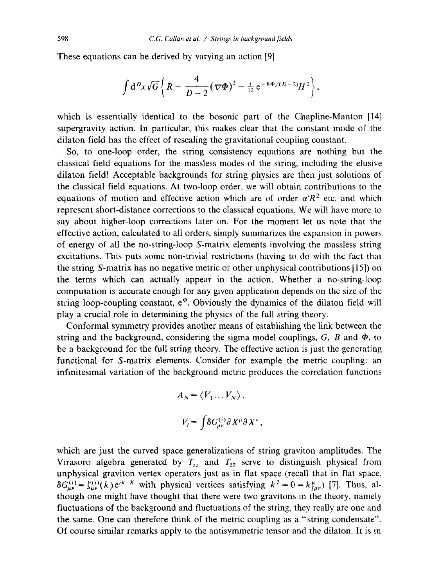These equations can be derived by varying an action [9]

$$
\int d^D x \sqrt{G} \left\{ R - \frac{4}{D-2} (\nabla \Phi)^2 - \frac{1}{12} e^{-8\Phi/(D-2)} H^2 \right\},\,
$$

which is essentially identical to the bosonic part of the Chapline-Manton [14] supergravity action. In particular, this makes clear that the constant mode of the dilaton field has the effect of rescaling the gravitational coupling constant.

So, to one-loop order, the string consistency equations are nothing but the classical field equations for the massless modes of the string, including the elusive dilaton field! Acceptable backgrounds for string physics are then just solutions of the classical field equations. At two-loop order, we will obtain contributions to the equations of motion and effective action which are of order  $\alpha'R^2$  etc. and which represent short-distance corrections to the classical equations. We will have more to say about higher-loop corrections later on. For the moment let us note that the effective action, calculated to all orders, simply summarizes the expansion in powers of energy of all the no-string-loop S-matrix elements involving the massless string excitations. This puts some non-trivial restrictions (having to do with the fact that the string S-matrix has no negative metric or other unphysical contributions [15]) on the terms which can actually appear in the action. Whether a no-string-loop computation is accurate enough for any given application depends on the size of the string loop-coupling constant,  $e^{\Phi}$ . Obviously the dynamics of the dilaton field will play a crucial role in determining the physics of the full string theory.

Conformal symmetry provides another means of establishing the link between the string and the background, considering the sigma model couplings,  $G$ ,  $B$  and  $\Phi$ , to be a background for the full string theory. The effective action is just the generating functional for S-matrix elements. Consider for example the metric coupling: an infinitesimal variation of the background metric produces the correlation functions

$$
A_N = \langle V_1 \dots V_N \rangle,
$$
  

$$
V_i = \int \delta G_{\mu\nu}^{(i)} \partial X^\mu \overline{\partial} X^i
$$

which are just the curved space generalizations of string graviton amplitudes. The Virasoro algebra generated by  $T_{zz}$  and  $T_{\bar{z}\bar{z}}$  serve to distinguish physical from unphysical graviton vertex operators just as in flat space (recall that in flat space,  $\delta G_{\mu\nu}^{(i)} = \zeta_{\mu\nu}^{(i)}(k) e^{ik \cdot X}$  with physical vertices satisfying  $k^2 = 0 = k_{\zeta\mu\nu}^{\mu}$  [7]. Thus, although one might have thought that there were two gravitons in the theory, namely fluctuations of the background and fluctuations of the string, they really are one and the same. One can therefore think of the metric coupling as a "string condensate". Of course similar remarks apply to the antisymmetric tensor and the dilaton. It is in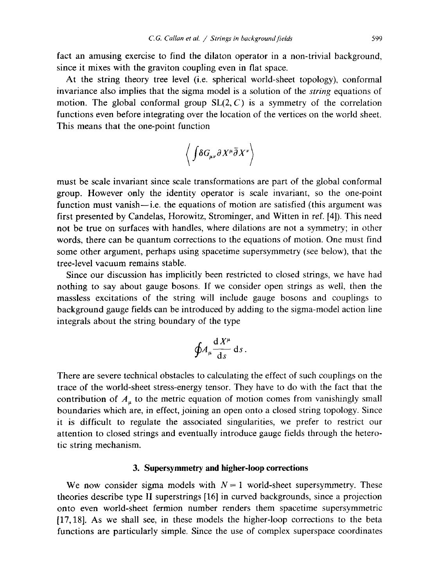fact an amusing exercise to find the dilaton operator in a non-trivial background. since it mixes with the graviton coupling even in flat space.

At the string theory tree level (i.e. spherical world-sheet topology), conformal invariance also implies that the sigma model is a solution of the *string* equations of motion. The global conformal group  $SL(2, C)$  is a symmetry of the correlation functions even before integrating over the location of the vertices on the world sheet. This means that the one-point function

$$
\left\langle \int\!\delta G_{\!\mu\nu}\partial X^\mu\bar{\partial}X^\nu\right\rangle
$$

must be scale invariant since scale transformations are part of the global conformal group. However only the identity operator is scale invariant, so the one-point function must vanish—i.e. the equations of motion are satisfied (this argument was first presented by Candelas, Horowitz, Strominger, and Witten in ref. [4]). This need not be true on surfaces with handles, where dilations are not a symmetry; in other words, there can be quantum corrections to the equations of motion. One must find some other argument, perhaps using spacetime supersymmetry (see below), that the tree-level vacuum remains stable.

Since our discussion has implicitly been restricted to closed strings, we have had nothing to say about gauge bosons. If we consider open strings as well, then the massless excitations of the string will include gauge bosons and couplings to background gauge fields can be introduced by adding to the sigma-model action line integrals about the string boundary of the type

$$
\oint A_\mu \frac{\mathrm{d} X^\mu}{\mathrm{d} s} \,\mathrm{d} s
$$

There are severe technical obstacles to calculating the effect of such couplings on the trace of the world-sheet stress-energy tensor. They have to do with the fact that the contribution of  $A_{\mu}$  to the metric equation of motion comes from vanishingly small boundaries which are, in effect, joining an open onto a closed string topology. Since it is difficult to regulate the associated singularities, we prefer to restrict our attention to closed strings and eventually introduce gauge fields through the heterotic string mechanism.

## 3. Supersymmetry and higher-loop corrections

We now consider sigma models with  $N = 1$  world-sheet supersymmetry. These theories describe type II superstrings [16] in curved backgrounds, since a projection onto even world-sheet fermion number renders them spacetime supersymmetric  $[17, 18]$ . As we shall see, in these models the higher-loop corrections to the beta functions are particularly simple. Since the use of complex superspace coordinates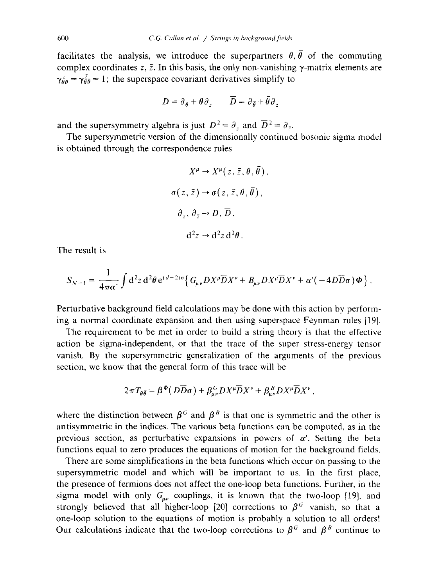facilitates the analysis, we introduce the superpartners  $\theta$ ,  $\bar{\theta}$  of the commuting complex coordinates z,  $\bar{z}$ . In this basis, the only non-vanishing  $\gamma$ -matrix elements are  $\gamma_{\theta\theta}^z = \gamma_{\theta\theta}^z = 1$ ; the superspace covariant derivatives simplify to

$$
D = \partial_{\theta} + \theta \partial_{z} \qquad \overline{D} = \partial_{\bar{\theta}} + \bar{\theta} \partial_{\bar{z}}
$$

and the supersymmetry algebra is just  $D^2 = \partial_z$  and  $\overline{D}^2 = \partial_{\overline{z}}$ .

The supersymmetric version of the dimensionally continued bosonic sigma model is obtained through the correspondence rules

$$
X^{\mu} \to X^{\mu}(z, \bar{z}, \theta, \bar{\theta}),
$$
  
\n
$$
\sigma(z, \bar{z}) \to \sigma(z, \bar{z}, \theta, \bar{\theta}),
$$
  
\n
$$
\partial_z, \partial_{\bar{z}} \to D, \overline{D},
$$
  
\n
$$
d^2z \to d^2z d^2\theta
$$

The result is

$$
S_{N=1} = \frac{1}{4\pi\alpha'}\int d^2z \, d^2\theta \, e^{(d-2)\sigma} \Big\{ G_{\mu\nu} D X^{\mu} \overline{D} X^{\nu} + B_{\mu\nu} D X^{\mu} \overline{D} X^{\nu} + \alpha' (-4D\overline{D}\sigma) \Phi \Big\} \, .
$$

Perturbative background field calculations may be done with this action by performing a normal coordinate expansion and then using superspace Feynman rules [19].

The requirement to be met in order to build a string theory is that the effective action be sigma-independent, or that the trace of the super stress-energy tensor vanish. By the supersymmetric generalization of the arguments of the previous section, we know that the general form of this trace will be

$$
2\pi T_{\theta\bar{\theta}} = \beta^{\Phi}(D\bar{D}\sigma) + \beta^G_{\mu\nu}DX^{\mu}\bar{D}X^{\nu} + \beta^B_{\mu\nu}DX^{\mu}\bar{D}X^{\nu}
$$

where the distinction between  $\beta^G$  and  $\beta^B$  is that one is symmetric and the other is antisymmetric in the indices. The various beta functions can be computed, as in the previous section, as perturbative expansions in powers of  $\alpha'$ . Setting the beta functions equal to zero produces the equations of motion for the background fields.

There are some simplifications in the beta functions which occur on passing to the supersymmetric model and which will be important to us. In the first place, the presence of fermions does not affect the one-loop beta functions. Further, in the sigma model with only  $G_{\mu\nu}$  couplings, it is known that the two-loop [19], and strongly believed that all higher-loop [20] corrections to  $\beta^G$  vanish, so that a one-loop solution to the equations of motion is probably a solution to all orders! Our calculations indicate that the two-loop corrections to  $\beta^G$  and  $\beta^B$  continue to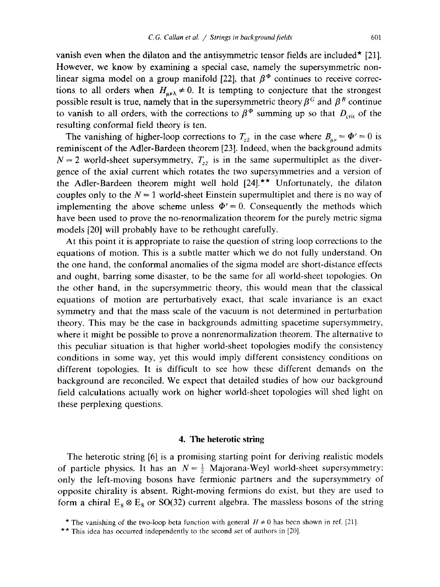vanish even when the dilaton and the antisymmetric tensor fields are included<sup>\*</sup> [21]. However, we know by examining a special case, namely the supersymmetric nonlinear sigma model on a group manifold [22], that  $\beta^{\phi}$  continues to receive corrections to all orders when  $H_{\mu\nu\lambda} \neq 0$ . It is tempting to conjecture that the strongest possible result is true, namely that in the supersymmetric theory  $\beta^G$  and  $\beta^B$  continue to vanish to all orders, with the corrections to  $\beta^{\Phi}$  summing up so that  $D_{\text{crit}}$  of the resulting conformal field theory is ten.

The vanishing of higher-loop corrections to  $T_{z\bar{z}}$  in the case where  $B_{\mu\nu} = \Phi' = 0$  is reminiscent of the Adler-Bardeen theorem [23]. Indeed, when the background admits  $N = 2$  world-sheet supersymmetry,  $T_{z\overline{z}}$  is in the same supermultiplet as the divergence of the axial current which rotates the two supersymmetries and a version of the Adler-Bardeen theorem might well hold [24].\*\* Unfortunately, the dilaton couples only to the  $N = 1$  world-sheet Einstein supermultiplet and there is no way of implementing the above scheme unless  $\Phi' = 0$ . Consequently the methods which have been used to prove the no-renormalization theorem for the purely metric sigma models [20] will probably have to be rethought carefully.

At this point it is appropriate to raise the question of string loop corrections to the equations of motion. This is a subtle matter which we do not fully understand. On the one hand, the conformal anomalies of the sigma model are short-distance effects and ought, barring some disaster, to be the same for all world-sheet topologies. On the other hand, in the supersymmetric theory, this would mean that the classical equations of motion are perturbatively exact, that scale invariance is an exact symmetry and that the mass scale of the vacuum is not determined in perturbation theory. This may be the case in backgrounds admitting spacetime supersymmetry, where it might be possible to prove a nonrenormalization theorem. The alternative to this peculiar situation is that higher world-sheet topologies modify the consistency conditions in some way, yet this would imply different consistency conditions on different topologies. It is difficult to see how these different demands on the background are reconciled. We expect that detailed studies of how our background field calculations actually work on higher world-sheet topologies will shed light on these perplexing questions.

# 4. The heterotic string

The heterotic string [6] is a promising starting point for deriving realistic models of particle physics. It has an  $N = \frac{1}{2}$  Majorana-Weyl world-sheet supersymmetry: only the left-moving bosons have fermionic partners and the supersymmetry of opposite chirality is absent. Right-moving fermions do exist, but they are used to form a chiral  $E_8 \otimes E_8$  or SO(32) current algebra. The massless bosons of the string

<sup>\*</sup> The vanishing of the two-loop beta function with general  $H \neq 0$  has been shown in ref. [21].

<sup>\*\*</sup> This idea has occurred independently to the second set of authors in [20].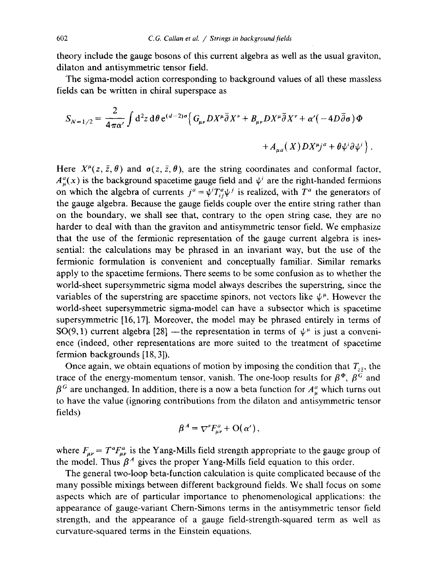theory include the gauge bosons of this current algebra as well as the usual graviton, dilaton and antisymmetric tensor field.

The sigma-model action corresponding to background values of all these massless fields can be written in chiral superspace as

$$
S_{N=1/2} = \frac{2}{4\pi\alpha'} \int d^2z \, d\theta \, e^{(d-2)\sigma} \Big\{ G_{\mu\nu} D X^{\mu} \overline{\partial} X^{\nu} + B_{\mu\nu} D X^{\mu} \overline{\partial} X^{\nu} + \alpha' (-4D\overline{\partial}\sigma) \Phi
$$

$$
+ A_{\mu a}(X) D X^{\mu} j^a + \theta \psi^i \partial \psi^i \Big\}.
$$

Here  $X^{\mu}(z, \bar{z}, \theta)$  and  $\sigma(z, \bar{z}, \theta)$ , are the string coordinates and conformal factor,  $A_u^a(x)$  is the background spacetime gauge field and  $\psi^i$  are the right-handed fermions on which the algebra of currents  $j^a = \psi^i T^a_{ii} \psi^j$  is realized, with  $T^a$  the generators of the gauge algebra. Because the gauge fields couple over the entire string rather than on the boundary, we shall see that, contrary to the open string case, they are no harder to deal with than the graviton and antisymmetric tensor field. We emphasize that the use of the fermionic representation of the gauge current algebra is inessential: the calculations may be phrased in an invariant way, but the use of the fermionic formulation is convenient and conceptually familiar. Similar remarks apply to the spacetime fermions. There seems to be some confusion as to whether the world-sheet supersymmetric sigma model always describes the superstring, since the variables of the superstring are spacetime spinors, not vectors like  $\psi^{\mu}$ . However the world-sheet supersymmetric sigma-model can have a subsector which is spacetime supersymmetric  $[16, 17]$ . Moreover, the model may be phrased entirely in terms of SO(9,1) current algebra [28] - the representation in terms of  $\psi^{\mu}$  is just a convenience (indeed, other representations are more suited to the treatment of spacetime fermion backgrounds [18, 3]).

Once again, we obtain equations of motion by imposing the condition that  $T_{\sigma}$ , the trace of the energy-momentum tensor, vanish. The one-loop results for  $\beta^{\Phi}$ ,  $\beta^{\overline{G}}$  and  $\beta^G$  are unchanged. In addition, there is a now a beta function for  $A^a_\mu$  which turns out to have the value (ignoring contributions from the dilaton and antisymmetric tensor fields)

$$
\beta^A = \nabla^{\nu} F_{\mu\nu}^a + \mathcal{O}(\alpha^{\prime}),
$$

where  $F_{\mu\nu} = T^a F^a_{\mu\nu}$  is the Yang-Mills field strength appropriate to the gauge group of the model. Thus  $\beta^A$  gives the proper Yang-Mills field equation to this order.

The general two-loop beta-function calculation is quite complicated because of the many possible mixings between different background fields. We shall focus on some aspects which are of particular importance to phenomenological applications: the appearance of gauge-variant Chern-Simons terms in the antisymmetric tensor field strength, and the appearance of a gauge field-strength-squared term as well as curvature-squared terms in the Einstein equations.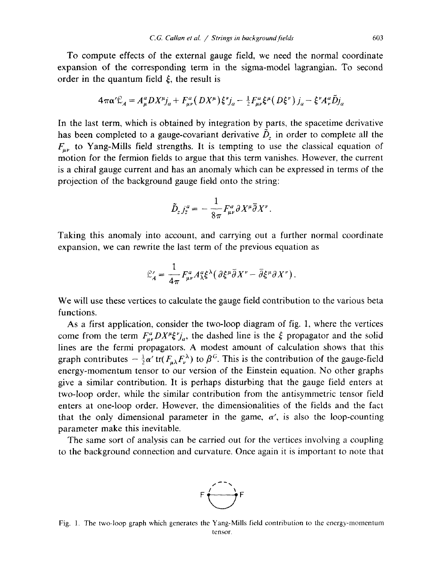To compute effects of the external gauge field, we need the normal coordinate expansion of the corresponding term in the sigma-model lagrangian. To second order in the quantum field  $\xi$ , the result is

$$
4\pi\alpha'\mathcal{L}_A = A^a_\mu DX^\mu j_a + F^a_{\mu\nu}(DX^\mu)\xi^{\nu} j_a - \frac{1}{2}F^a_{\mu\nu}\xi^\mu(D\xi^\nu) j_a - \xi^{\nu}A^a_{\nu}\tilde{D}j_a
$$

In the last term, which is obtained by integration by parts, the spacetime derivative has been completed to a gauge-covariant derivative  $\tilde{D}_z$  in order to complete all the  $F_{\mu\nu}$  to Yang-Mills field strengths. It is tempting to use the classical equation of motion for the fermion fields to argue that this term vanishes. However, the current is a chiral gauge current and has an anomaly which can be expressed in terms of the projection of the background gauge field onto the string:

$$
\tilde{D}_z j_z^a = -\frac{1}{8\pi} F_{\mu\nu}^a \partial X^\mu \overline{\partial} X^\nu.
$$

Taking this anomaly into account, and carrying out a further normal coordinate expansion, we can rewrite the last term of the previous equation as

$$
\mathcal{L}'_A = \frac{1}{4\pi} F^a_{\mu\nu} A^\mu_\lambda \xi^\lambda \big( \, \partial \xi^\mu \overline{\partial} X^\nu - \overline{\partial} \xi^\mu \partial X^\nu \big) \, .
$$

We will use these vertices to calculate the gauge field contribution to the various beta functions.

As a first application, consider the two-loop diagram of fig. 1, where the vertices come from the term  $F_{\mu\nu}^a DX^{\mu}\xi^{\nu}j_a$ , the dashed line is the  $\xi$  propagator and the solid lines are the fermi propagators. A modest amount of calculation shows that this graph contributes  $-\frac{1}{2}\alpha'$  tr( $F_{\mu\lambda}F_{\nu}^{\lambda}$ ) to  $\beta^{G}$ . This is the contribution of the gauge-field energy-momentum tensor to our version of the Einstein equation. No other graphs give a similar contribution. It is perhaps disturbing that the gauge field enters at two-loop order, while the similar contribution from the antisymmetric tensor field enters at one-loop order. However, the dimensionalities of the fields and the fact that the only dimensional parameter in the game,  $\alpha'$ , is also the loop-counting parameter make this inevitable.

The same sort of analysis can be carried out for the vertices involving a coupling to the background connection and curvature. Once again it is important to note that



Fig. 1. The two-loop graph which generates the Yang-Mills field contribution to the energy-momentum tensor.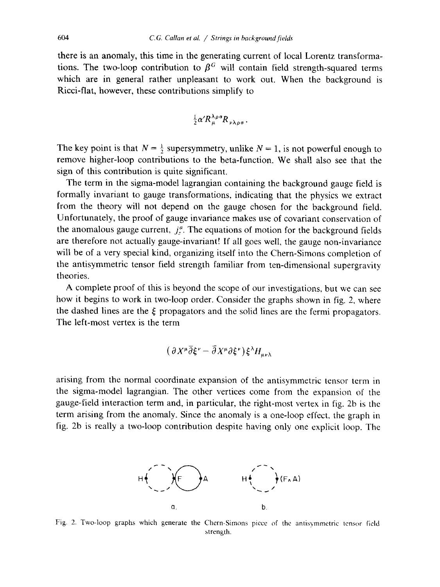there is an anomaly, this time in the generating current of local Lorentz transformations. The two-loop contribution to  $\beta^G$  will contain field strength-squared terms which are in general rather unpleasant to work out. When the background is Ricci-flat, however, these contributions simplify to

$$
\frac{1}{2}\alpha' R_{\mu}^{\lambda\rho\sigma} R_{\nu\lambda\rho\sigma}
$$

The key point is that  $N = \frac{1}{2}$  supersymmetry, unlike  $N = 1$ , is not powerful enough to remove higher-loop contributions to the beta-function. We shall also see that the sign of this contribution is quite significant.

The term in the sigma-model lagrangian containing the background gauge field is formally invariant to gauge transformations, indicating that the physics we extract from the theory will not depend on the gauge chosen for the background field. Unfortunately, the proof of gauge invariance makes use of covariant conservation of the anomalous gauge current,  $j<sub>i</sub><sup>a</sup>$ . The equations of motion for the background fields are therefore not actually gauge-invariant! If all goes well, the gauge non-invariance will be of a very special kind, organizing itself into the Chern-Simons completion of the antisymmetric tensor field strength familiar from ten-dimensional supergravity theories.

A complete proof of this is beyond the scope of our investigations, but we can see how it begins to work in two-loop order. Consider the graphs shown in fig. 2, where the dashed lines are the  $\xi$  propagators and the solid lines are the fermi propagators. The left-most vertex is the term

$$
(\partial X^{\mu}\overline{\partial}\xi^{\nu}-\overline{\partial}X^{\mu}\partial\xi^{\nu})\xi^{\lambda}H_{\mu\nu\lambda}
$$

arising from the normal coordinate expansion of the antisymmetric tensor term in the sigma-model lagrangian. The other vertices come from the expansion of the gauge-field interaction term and, in particular, the right-most vertex in fig. 2b is the term arising from the anomaly. Since the anomaly is a one-loop effect, the graph in fig. 2b is really a two-loop contribution despite having only one explicit loop. The



Fig. 2. Two-loop graphs which generate the Chern-Simons piece of the antisymmetric tensor field strength.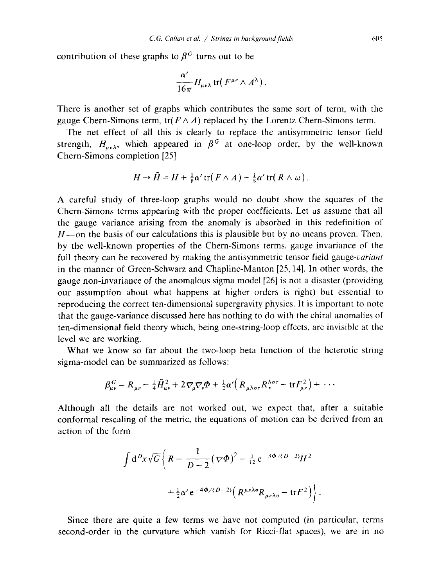contribution of these graphs to  $\beta^G$  turns out to be

$$
\frac{\alpha'}{16\pi}H_{\mu\nu\lambda}\,\text{tr}(\,F^{\mu\nu}\wedge A^{\lambda})
$$

There is another set of graphs which contributes the same sort of term, with the gauge Chern-Simons term,  $tr(F \wedge A)$  replaced by the Lorentz Chern-Simons term.

The net effect of all this is clearly to replace the antisymmetric tensor field strength,  $H_{\mu\nu\lambda}$ , which appeared in  $\beta^G$  at one-loop order, by the well-known Chern-Simons completion [25]

$$
H \to \tilde{H} = H + \frac{1}{2}\alpha' \operatorname{tr}(F \wedge A) - \frac{1}{2}\alpha' \operatorname{tr}(R \wedge \omega).
$$

A careful study of three-loop graphs would no doubt show the squares of the Chern-Simons terms appearing with the proper coefficients. Let us assume that all the gauge variance arising from the anomaly is absorbed in this redefinition of  $H$ —on the basis of our calculations this is plausible but by no means proven. Then, by the well-known properties of the Chern-Simons terms, gauge invariance of the full theory can be recovered by making the antisymmetric tensor field gauge-variant in the manner of Green-Schwarz and Chapline-Manton [25, 14]. In other words, the gauge non-invariance of the anomalous sigma model [26] is not a disaster (providing our assumption about what happens at higher orders is right) but essential to reproducing the correct ten-dimensional supergravity physics. It is important to note that the gauge-variance discussed here has nothing to do with the chiral anomalies of ten-dimensional field theory which, being one-string-loop effects, are invisible at the level we are working.

What we know so far about the two-loop beta function of the heterotic string sigma-model can be summarized as follows:

$$
\beta_{\mu\nu}^G = R_{\mu\nu} - \frac{1}{4} \tilde{H}_{\mu\nu}^2 + 2 \nabla_{\mu} \nabla_{\nu} \Phi + \frac{1}{2} \alpha' \left( R_{\mu\lambda\sigma\tau} R_{\nu}^{\lambda\sigma\tau} - \text{tr} F_{\mu\nu}^2 \right) + \cdots
$$

Although all the details are not worked out, we expect that, after a suitable conformal rescaling of the metric, the equations of motion can be derived from an action of the form

$$
\int d^D x \sqrt{G} \left\{ R - \frac{1}{D-2} (\nabla \Phi)^2 - \frac{1}{12} e^{-8\Phi/(D-2)} H^2 + \frac{1}{2} \alpha' e^{-4\Phi/(D-2)} \left( R^{\mu\nu\lambda\sigma} R_{\mu\nu\lambda\sigma} - \text{tr} F^2 \right) \right\}
$$

Since there are quite a few terms we have not computed (in particular, terms second-order in the curvature which vanish for Ricci-flat spaces), we are in no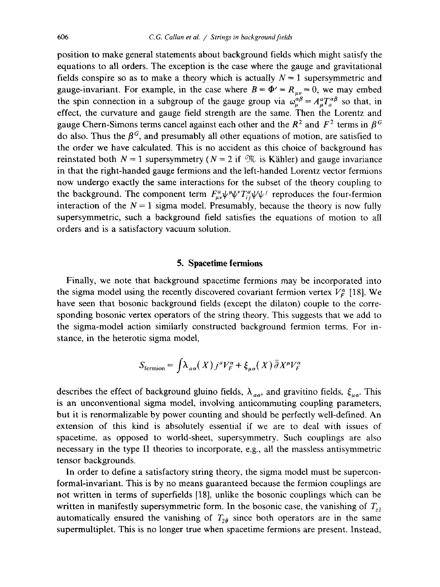position to make general statements about background fields which might satisfy the equations to all orders. The exception is the case where the gauge and gravitational fields conspire so as to make a theory which is actually  $N = 1$  supersymmetric and gauge-invariant. For example, in the case where  $B = \Phi' = R_{\mu\nu} = 0$ , we may embed the spin connection in a subgroup of the gauge group via  $\omega_{\mu}^{\alpha\beta} = A_{\mu}^a T_a^{\alpha\beta}$  so that, in effect, the curvature and gauge field strength are the same. Then the Lorentz and gauge Chern-Simons terms cancel against each other and the  $R^2$  and  $F^2$  terms in  $\beta^G$ do also. Thus the  $\beta^G$ , and presumably all other equations of motion, are satisfied to the order we have calculated. This is no accident as this choice of background has reinstated both  $N = 1$  supersymmetry ( $N = 2$  if  $\mathcal{R}$  is Kähler) and gauge invariance in that the right-handed gauge fermions and the left-handed Lorentz vector fermions now undergo exactly the same interactions for the subset of the theory coupling to the background. The component term  $F_{\mu\nu}^a \psi^{\mu} \psi^{\nu} T_{ii}^a \psi^i \psi^j$  reproduces the four-fermion interaction of the  $N=1$  sigma model. Presumably, because the theory is now fully supersymmetric, such a background field satisfies the equations of motion to all orders and is a satisfactory vacuum solution.

## 5. Spacetime fermions

Finally, we note that background spacetime fermions may be incorporated into the sigma model using the recently discovered covariant fermion vertex  $V_F^{\alpha}$  [18]. We have seen that bosonic background fields (except the dilaton) couple to the corresponding bosonic vertex operators of the string theory. This suggests that we add to the sigma-model action similarly constructed background fermion terms. For instance, in the heterotic sigma model,

$$
S_{\text{fermion}} = \int \lambda_{a\alpha}(X) j^a V_F^{\alpha} + \xi_{\mu\alpha}(X) \bar{\partial} X^{\mu} V_F^{\alpha}
$$

describes the effect of background gluino fields,  $\lambda_{\alpha\alpha}$ , and gravitino fields,  $\xi_{\alpha\alpha}$ . This is an unconventional sigma model, involving anticommuting coupling parameters, but it is renormalizable by power counting and should be perfectly well-defined. An extension of this kind is absolutely essential if we are to deal with issues of spacetime, as opposed to world-sheet, supersymmetry. Such couplings are also necessary in the type II theories to incorporate, e.g., all the massless antisymmetric tensor backgrounds.

In order to define a satisfactory string theory, the sigma model must be superconformal-invariant. This is by no means guaranteed because the fermion couplings are not written in terms of superfields [18], unlike the bosonic couplings which can be written in manifestly supersymmetric form. In the bosonic case, the vanishing of  $T_{z\bar{z}}$ automatically ensured the vanishing of  $T_{\bar{z}\theta}$  since both operators are in the same supermultiplet. This is no longer true when spacetime fermions are present. Instead,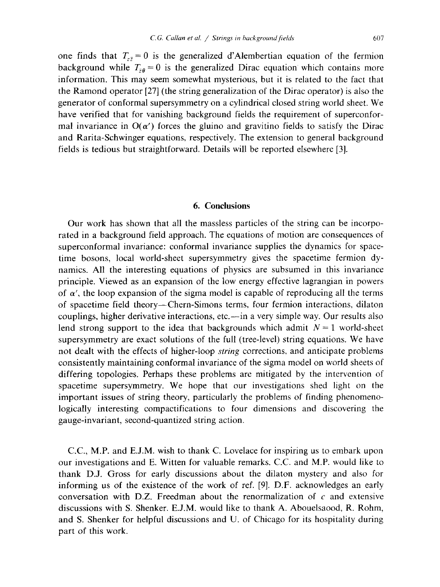one finds that  $T_{z\bar{z}} = 0$  is the generalized d'Alembertian equation of the fermion background while  $T_{\bar{z}\theta} = 0$  is the generalized Dirac equation which contains more information. This may seem somewhat mysterious, but it is related to the fact that the Ramond operator [27] (the string generalization of the Dirac operator) is also the generator of conformal supersymmetry on a cylindrical closed string world sheet. We have verified that for vanishing background fields the requirement of superconformal invariance in  $O(\alpha')$  forces the gluino and gravitino fields to satisfy the Dirac and Rarita-Schwinger equations, respectively. The extension to general background fields is tedious but straightforward. Details will be reported elsewhere [3].

## 6. Conclusions

Our work has shown that all the massless particles of the string can be incorporated in a background field approach. The equations of motion are consequences of superconformal invariance: conformal invariance supplies the dynamics for spacetime bosons, local world-sheet supersymmetry gives the spacetime fermion dynamics. All the interesting equations of physics are subsumed in this invariance principle. Viewed as an expansion of the low energy effective lagrangian in powers of  $\alpha'$ , the loop expansion of the sigma model is capable of reproducing all the terms of spacetime field theory—Chern-Simons terms, four fermion interactions, dilaton couplings, higher derivative interactions, etc.—in a very simple way. Our results also lend strong support to the idea that backgrounds which admit  $N = 1$  world-sheet supersymmetry are exact solutions of the full (tree-level) string equations. We have not dealt with the effects of higher-loop *string* corrections, and anticipate problems consistently maintaining conformal invariance of the sigma model on world sheets of differing topologies. Perhaps these problems are mitigated by the intervention of spacetime supersymmetry. We hope that our investigations shed light on the important issues of string theory, particularly the problems of finding phenomenologically interesting compactifications to four dimensions and discovering the gauge-invariant, second-quantized string action.

C.C., M.P. and E.J.M. wish to thank C. Lovelace for inspiring us to embark upon our investigations and E. Witten for valuable remarks. C.C. and M.P. would like to thank D.J. Gross for early discussions about the dilaton mystery and also for informing us of the existence of the work of ref. [9]. D.F. acknowledges an early conversation with D.Z. Freedman about the renormalization of  $c$  and extensive discussions with S. Shenker. E.J.M. would like to thank A. Abouelsaood, R. Rohm, and S. Shenker for helpful discussions and U. of Chicago for its hospitality during part of this work.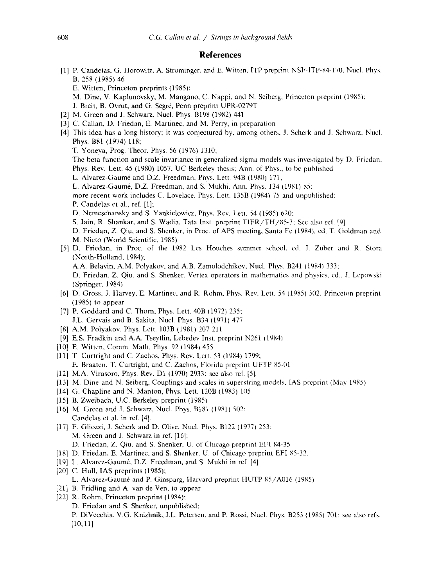### **References**

- [1] P. Candelas, G. Horowitz, A. Strominger, and E. Witten, ITP preprint NSF-ITP-84-170, Nucl. Phys. B. 258 (1985) 46
	- E. Witten, Princeton preprints (1985);

M. Dine, V. Kaplunovsky, M. Mangano, C. Nappi, and N. Seiberg, Princeton preprint (1985);

- J. Breit, B. Ovrut, and G. Segré, Penn preprint UPR-0279T
- [2] M. Green and J. Schwarz, Nucl. Phys. B198 (1982) 441
- [3] C. Callan, D. Friedan, E. Martinec, and M. Perry, in preparation
- [4] This idea has a long history; it was conjectured by, among others, J. Scherk and J. Schwarz, Nucl. Phys. B81 (1974) 118;
	- T. Yoneya, Prog. Theor. Phys. 56 (1976) 1310;

The beta function and scale invariance in generalized sigma models was investigated by D. Friedan, Phys. Rev. Lett. 45 (1980) 1057, UC Berkeley thesis; Ann. of Phys., to be published

- L. Alvarez-Gaumé and D.Z. Freedman, Phys. Lett. 94B (1980) 171;
- L. Alvarez-Gaumé, D.Z. Freedman, and S. Mukhi, Ann. Phys. 134 (1981) 85;

more recent work includes C. Lovelace, Phys. Lett. 135B (1984) 75 and unpublished;

P. Candelas et al., ref. [1]:

D. Nemeschansky and S. Yankielowicz, Phys. Rev. Lett. 54 (1985) 620;

S. Jain, R. Shankar, and S. Wadia, Tata Inst. preprint TIFR/TH/85-3; See also ref. [9]

- D. Friedan, Z. Qiu, and S. Shenker, in Proc. of APS meeting, Santa Fe (1984), ed. T. Goldman and M. Nieto (World Scientific, 1985)
- [5] D. Friedan, in Proc. of the 1982 Les Houches summer school, ed. J. Zuber and R. Stora (North-Holland, 1984);

A.A. Belavin, A.M. Polyakov, and A.B. Zamolodchikov, Nucl. Phys. B241 (1984) 333;

D. Friedan, Z. Qiu, and S. Shenker, Vertex operators in mathematics and physics, ed., J. Lepowski (Springer, 1984)

- [6] D. Gross, J. Harvey, E. Martinec, and R. Rohm, Phys. Rev. Lett. 54 (1985) 502, Princeton preprint  $(1985)$  to appear
- [7] P. Goddard and C. Thorn, Phys. Lett. 40B (1972) 235; J.L. Gervais and B. Sakita, Nucl. Phys. B34 (1971) 477
- [8] A.M. Polyakov, Phys. Lett. 103B (1981) 207 211
- [9] E.S. Fradkin and A.A. Tseytlin, Lebedev Inst. preprint N261 (1984)
- [10] E. Witten, Comm. Math. Phys. 92 (1984) 455
- [11] T. Curtright and C. Zachos, Phys. Rev. Lett. 53 (1984) 1799; E. Braaten, T. Curtright, and C. Zachos, Florida preprint UFTP 85-01
- [12] M.A. Virasoro, Phys. Rev. D1 (1970) 2933; see also ref. [5].
- [13] M. Dine and N. Seiberg, Couplings and scales in superstring models, IAS preprint (May 1985)
- [14] G. Chapline and N. Manton, Phys. Lett. 120B (1983) 105
- [15] B. Zweibach, U.C. Berkeley preprint (1985)
- [16] M. Green and J. Schwarz, Nucl. Phys. B181 (1981) 502; Candelas et al. in ref. [4].
- [17] F. Gliozzi, J. Scherk and D. Olive, Nucl. Phys. B122 (1977) 253; M. Green and J. Schwarz in ref. [16]; D. Friedan, Z. Qiu, and S. Shenker, U. of Chicago preprint EFI 84-35
- [18] D. Friedan, E. Martinec, and S. Shenker, U. of Chicago preprint EFI 85-32.
- [19] L. Alvarez-Gaumé, D.Z. Freedman, and S. Mukhi in ref. [4]
- $[20]$  C. Hull, IAS preprints  $(1985)$ ;
	- L. Alvarez-Gaumé and P. Ginsparg, Harvard preprint HUTP 85/A016 (1985)
- [21] B. Fridling and A. van de Ven, to appear
- [22] R. Rohm, Princeton preprint (1984);
	- D. Friedan and S. Shenker, unpublished;

P. DiVecchia, V.G. Knizhnik, J.L. Petersen, and P. Rossi, Nucl. Phys. B253 (1985) 701; see also refs.  $[10, 11]$